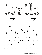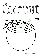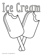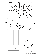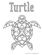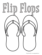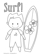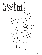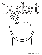